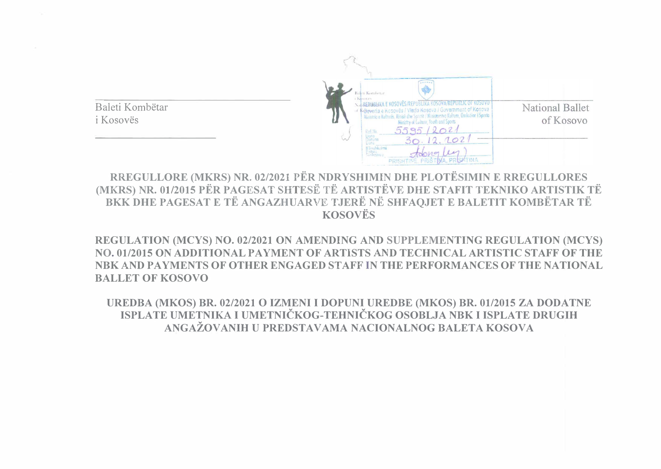

**RREGULLORE (MKRS) NR. 02/2021 PER NDRYSHIMIN DHE PLOTESIMIN E RREGULLORES (MKRS) NR. 01/2015 PËR PAGESAT SHTESË TË ARTISTËVE DHE STAFIT TEKNIKO ARTISTIK TË BKK DHE PAGESAT E TË ANGAZHUARVE TJERË NË SHFAQJET E BALETIT KOMBËTAR TË KOSOVES** 

**REGULATION (MCYS) NO. 02/2021 ON AMENDING AND SUPPLEMENTING REGULATION (MCYS) NO. 01/2015 ON ADDITIONAL PAYMENT OF ARTISTS A<sup>N</sup> D TECHNICAL ARTISTIC STAFF OF THE NBK AND PAYMENTS OF OTHER ENGAGED STAFF IN THE PERFORMANCES OF THE NATIONAL BALLET OF KOSOVO** 

**UREDBA (MKOS) BR. 02/2021 0 IZMENI I DOPUNI UREDBE (MKOS) BR. 01/2015 ZA DODATNE ISPLATE UMETNIKA I UMETNICKOG-TEHNICKOG OSOBLJA NBK I ISPLATE DRUGIH**  ANGAŽOVANIH U PREDSTAVAMA NACIONALNOG BALETA KOSOVA

Baleti Kombetar i Kosovës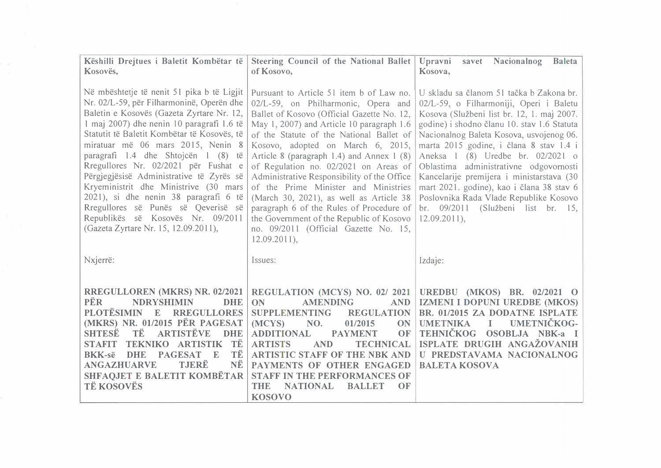| Këshilli Drejtues i Baletit Kombëtar të<br>Kosovës,                                                                                                                                                                                                                                                                                                                                                                                                                                                                                                                                                    | Steering Council of the National Ballet<br>of Kosovo,                                                                                                                                                                                                                                                                                                                                                                                                                                                                                                                                                                                  | Upravni<br>Nacionalnog<br><b>Baleta</b><br>savet<br>Kosova,                                                                                                                                                                                                                                                                                                                                                                                                                                                                                          |
|--------------------------------------------------------------------------------------------------------------------------------------------------------------------------------------------------------------------------------------------------------------------------------------------------------------------------------------------------------------------------------------------------------------------------------------------------------------------------------------------------------------------------------------------------------------------------------------------------------|----------------------------------------------------------------------------------------------------------------------------------------------------------------------------------------------------------------------------------------------------------------------------------------------------------------------------------------------------------------------------------------------------------------------------------------------------------------------------------------------------------------------------------------------------------------------------------------------------------------------------------------|------------------------------------------------------------------------------------------------------------------------------------------------------------------------------------------------------------------------------------------------------------------------------------------------------------------------------------------------------------------------------------------------------------------------------------------------------------------------------------------------------------------------------------------------------|
| Në mbështetje të nenit 51 pika b të Ligjit<br>Nr. 02/L-59, për Filharmoninë, Operën dhe<br>Baletin e Kosovës (Gazeta Zyrtare Nr. 12,<br>1 maj 2007) dhe nenin 10 paragrafi 1.6 të<br>Statutit të Baletit Kombëtar të Kosovës, të<br>miratuar më 06 mars 2015, Nenin 8<br>paragrafi 1.4 dhe Shtojcën 1 (8) të<br>Rregullores Nr. 02/2021 për Fushat e<br>Përgjegjësisë Administrative të Zyrës së<br>Kryeministrit dhe Ministrive (30 mars<br>2021), si dhe nenin 38 paragrafi 6 të<br>Rregullores së Punës së Qeverisë së<br>Republikës së Kosovës Nr. 09/2011<br>(Gazeta Zyrtare Nr. 15, 12.09.2011), | Pursuant to Article 51 item b of Law no.<br>02/L-59, on Philharmonic, Opera and<br>Ballet of Kosovo (Official Gazette No. 12,<br>May 1, 2007) and Article 10 paragraph 1.6<br>of the Statute of the National Ballet of<br>Kosovo, adopted on March 6, 2015,<br>Article 8 (paragraph 1.4) and Annex 1 (8)<br>of Regulation no. 02/2021 on Areas of<br>Administrative Responsibility of the Office<br>of the Prime Minister and Ministries<br>(March 30, 2021), as well as Article 38<br>paragraph 6 of the Rules of Procedure of<br>the Government of the Republic of Kosovo<br>no. 09/2011 (Official Gazette No. 15,<br>$12.09.2011$ , | U skladu sa članom 51 tačka b Zakona br.<br>02/L-59, o Filharmoniji, Operi i Baletu<br>Kosova (Službeni list br. 12, 1. maj 2007.)<br>godine) i shodno članu 10. stav 1.6 Statuta<br>Nacionalnog Baleta Kosova, usvojenog 06.<br>marta 2015 godine, i člana 8 stav 1.4 i<br>Aneksa 1 (8) Uredbe br. 02/2021 of<br>Oblastima administrativne odgovornosti<br>Kancelarije premijera i ministarstava (30<br>mart 2021. godine), kao i člana 38 stav 6<br>Poslovnika Rada Vlade Republike Kosovo<br>br. 09/2011 (Službeni list br. 15,<br>$12.09.2011$ , |
| Nxjerrë:                                                                                                                                                                                                                                                                                                                                                                                                                                                                                                                                                                                               | Issues:                                                                                                                                                                                                                                                                                                                                                                                                                                                                                                                                                                                                                                | Izdaje:                                                                                                                                                                                                                                                                                                                                                                                                                                                                                                                                              |
| RREGULLOREN (MKRS) NR. 02/2021<br>PËR<br><b>NDRYSHIMIN</b><br><b>DHE</b><br><b>PLOTËSIMIN</b><br><b>RREGULLORES</b><br>E<br>(MKRS) NR. 01/2015 PËR PAGESAT<br>TË<br><b>ARTISTËVE</b><br><b>SHTESE</b><br><b>DHE</b><br>TË<br><b>ARTISTIK</b><br><b>STAFIT</b><br><b>TEKNIKO</b><br>TË<br><b>PAGESAT</b><br><b>BKK-së</b><br><b>DHE</b><br>E<br><b>TJERË</b><br>NË<br><b>ANGAZHUARVE</b><br>SHFAQJET E BALETIT KOMBËTAR<br><b>TË KOSOVËS</b>                                                                                                                                                            | REGULATION (MCYS) NO. 02/2021<br><b>ON</b><br><b>AMENDING</b><br><b>AND</b><br><b>REGULATION</b><br><b>SUPPLEMENTING</b><br>(MCYS)<br>NO.<br>01/2015<br><b>ON</b><br><b>ADDITIONAL</b><br>OF<br><b>PAYMENT</b><br><b>ARTISTS</b><br><b>TECHNICAL</b><br><b>AND</b><br><b>ARTISTIC STAFF OF THE NBK AND</b><br>PAYMENTS OF OTHER ENGAGED<br><b>STAFF IN THE PERFORMANCES OF</b><br><b>NATIONAL</b><br><b>BALLET</b><br><b>THE</b><br>OF<br><b>KOSOVO</b>                                                                                                                                                                                | UREDBU (MKOS) BR. 02/2021 O<br>IZMENI I DOPUNI UREDBE (MKOS)<br>BR. 01/2015 ZA DODATNE ISPLATE<br>UMETNIČKOG-<br><b>UMETNIKA</b><br>$\mathbf I$<br>TEHNIČKOG<br>OSOBLJA NBK-a I<br>ISPLATE DRUGIH ANGAŽOVANIH<br>U PREDSTAVAMA NACIONALNOG<br><b>BALETA KOSOVA</b>                                                                                                                                                                                                                                                                                   |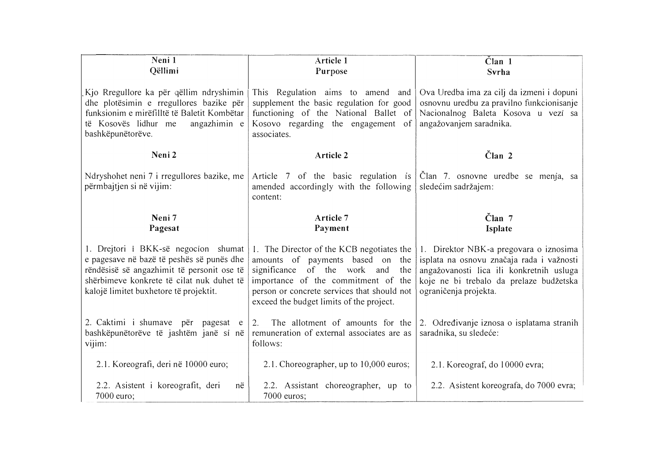| Neni 1<br>Qëllimi                                                                                                                                                                                                      | Article 1<br>Purpose                                                                                                                                                                                                                                         | $\text{C}$ lan 1<br>Svrha                                                                                                                                                                           |
|------------------------------------------------------------------------------------------------------------------------------------------------------------------------------------------------------------------------|--------------------------------------------------------------------------------------------------------------------------------------------------------------------------------------------------------------------------------------------------------------|-----------------------------------------------------------------------------------------------------------------------------------------------------------------------------------------------------|
| Kjo Rregullore ka për qëllim ndryshimin<br>dhe plotësimin e rregullores bazike për<br>funksionim e mirëfilltë të Baletit Kombëtar<br>të Kosovës lidhur me<br>angazhimin e<br>bashkëpunëtorëve.                         | This Regulation aims to amend and<br>supplement the basic regulation for good<br>functioning of the National Ballet of<br>Kosovo regarding the engagement of<br>associates.                                                                                  | Ova Uredba ima za cilj da izmeni i dopuni<br>osnovnu uredbu za pravilno funkcionisanje<br>Nacionalnog Baleta Kosova u vezi sa<br>angažovanjem saradnika.                                            |
| Neni 2                                                                                                                                                                                                                 | Article 2                                                                                                                                                                                                                                                    | $\check{\mathrm{C}}$ lan 2                                                                                                                                                                          |
| Ndryshohet neni 7 i rregullores bazike, me<br>përmbajtjen si në vijim:                                                                                                                                                 | Article 7 of the basic regulation is<br>amended accordingly with the following<br>content:                                                                                                                                                                   | Član 7. osnovne uredbe se menja, sa<br>sledećim sadržajem:                                                                                                                                          |
| Neni 7<br>Pagesat                                                                                                                                                                                                      | Article 7<br>Payment                                                                                                                                                                                                                                         | $\text{Član}$ 7<br>Isplate                                                                                                                                                                          |
| 1. Drejtori i BKK-së negocion shumat<br>e pagesave në bazë të peshës së punës dhe<br>rëndësisë së angazhimit të personit ose të<br>shërbimeve konkrete të cilat nuk duhet të<br>kalojë limitet buxhetore të projektit. | 1. The Director of the KCB negotiates the<br>amounts of payments based on the<br>significance<br>of the work<br>and<br>the<br>importance of the commitment of the<br>person or concrete services that should not<br>exceed the budget limits of the project. | 1. Direktor NBK-a pregovara o iznosima<br>isplata na osnovu značaja rada i važnosti<br>angažovanosti lica ili konkretnih usluga<br>koje ne bi trebalo da prelaze budžetska<br>ograničenja projekta. |
| 2. Caktimi i shumave për pagesat e<br>bashkëpunëtorëve të jashtëm janë si në<br>vijim:                                                                                                                                 | The allotment of amounts for the<br>2.<br>remuneration of external associates are as<br>follows:                                                                                                                                                             | 2. Određivanje iznosa o isplatama stranih<br>saradnika, su sledeće:                                                                                                                                 |
| 2.1. Koreografi, deri në 10000 euro;                                                                                                                                                                                   | 2.1. Choreographer, up to 10,000 euros;                                                                                                                                                                                                                      | 2.1. Koreograf, do 10000 evra;                                                                                                                                                                      |
| 2.2. Asistent i koreografit, deri<br>në<br>7000 euro;                                                                                                                                                                  | 2.2. Assistant choreographer, up to<br>7000 euros;                                                                                                                                                                                                           | 2.2. Asistent koreografa, do 7000 evra;                                                                                                                                                             |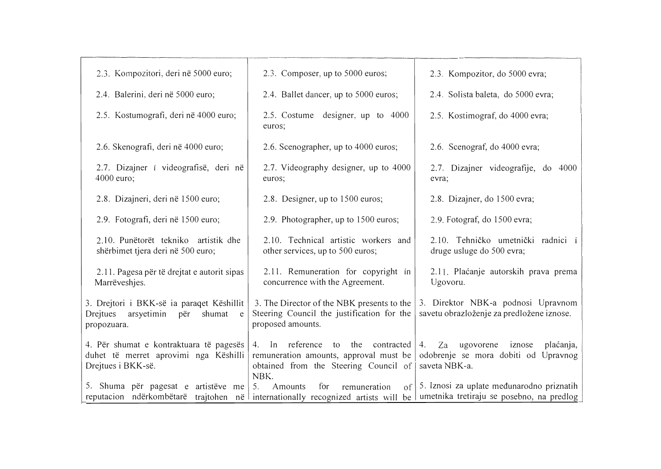| 2.3. Kompozitori, deri në 5000 euro;                                                                                 | 2.3. Composer, up to 5000 euros;                                                                                                           | 2.3. Kompozitor, do 5000 evra;                                                                        |
|----------------------------------------------------------------------------------------------------------------------|--------------------------------------------------------------------------------------------------------------------------------------------|-------------------------------------------------------------------------------------------------------|
| 2.4. Balerini, deri në 5000 euro;                                                                                    | 2.4. Ballet dancer, up to 5000 euros;                                                                                                      | 2.4. Solista baleta, do 5000 evra;                                                                    |
| 2.5. Kostumografi, deri në 4000 euro;                                                                                | 2.5. Costume designer, up to 4000<br>euros;                                                                                                | 2.5. Kostimograf, do 4000 evra;                                                                       |
| 2.6. Skenografi, deri në 4000 euro;                                                                                  | 2.6. Scenographer, up to 4000 euros;                                                                                                       | 2.6. Scenograf, do 4000 evra;                                                                         |
| 2.7. Dizajner i videografisë, deri në<br>4000 euro;                                                                  | 2.7. Videography designer, up to 4000<br>euros:                                                                                            | 2.7. Dizajner videografije, do 4000<br>evra;                                                          |
| 2.8. Dizajneri, deri në 1500 euro;                                                                                   | 2.8. Designer, up to 1500 euros;                                                                                                           | 2.8. Dizajner, do 1500 evra;                                                                          |
| 2.9. Fotografi, deri në 1500 euro;                                                                                   | 2.9. Photographer, up to 1500 euros;                                                                                                       | 2.9. Fotograf, do 1500 evra;                                                                          |
| 2.10. Punëtorët tekniko artistik dhe<br>shërbimet tjera deri në 500 euro;                                            | 2.10. Technical artistic workers and<br>other services, up to 500 euros;                                                                   | 2.10. Tehničko umetnički radnici i<br>druge usluge do 500 evra;                                       |
| 2.11. Pagesa për të drejtat e autorit sipas<br>Marrëveshjes.                                                         | 2.11. Remuneration for copyright in<br>concurrence with the Agreement.                                                                     | 2.11. Plaćanje autorskih prava prema<br>Ugovoru.                                                      |
| 3. Drejtori i BKK-së ia paraqet Këshillit<br>Drejtues<br>arsyetimin<br>shumat<br>për<br>e<br>propozuara.             | 3. The Director of the NBK presents to the<br>Steering Council the justification for the<br>proposed amounts.                              | 3. Direktor NBK-a podnosi Upravnom<br>savetu obrazloženje za predložene iznose.                       |
| 4. Për shumat e kontraktuara të pagesës<br>duhet të merret aprovimi nga Këshilli<br>Drejtues i BKK-së.               | reference<br>contracted<br>$4.$ In<br>the<br>to<br>remuneration amounts, approval must be<br>obtained from the Steering Council of<br>NBK. | Za<br>ugovorene<br>iznose<br>plaćanja,<br>4.<br>odobrenje se mora dobiti od Upravnog<br>saveta NBK-a. |
| 5. Shuma për pagesat e artistëve me<br>reputacion ndërkombëtarë trajtohen në internationally recognized artists will | Amounts<br>for<br>remuneration<br>5.<br>of <sub>1</sub>                                                                                    | 5. Iznosi za uplate međunarodno priznatih<br>be umetnika tretiraju se posebno, na predlog             |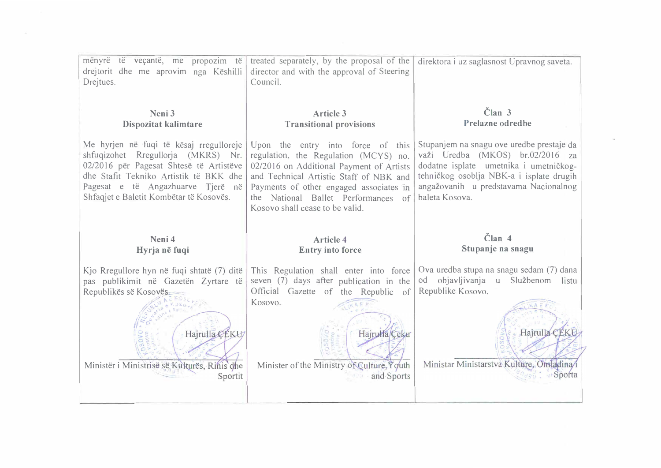| mënyrë të veçantë, me propozim të<br>drejtorit dhe me aprovim nga Këshilli<br>Drejtues.                                                                                                                                                            | treated separately, by the proposal of the<br>director and with the approval of Steering<br>Council.                                                                                                                                                                                   | direktora i uz saglasnost Upravnog saveta.                                                                                                                                                                                     |
|----------------------------------------------------------------------------------------------------------------------------------------------------------------------------------------------------------------------------------------------------|----------------------------------------------------------------------------------------------------------------------------------------------------------------------------------------------------------------------------------------------------------------------------------------|--------------------------------------------------------------------------------------------------------------------------------------------------------------------------------------------------------------------------------|
| Neni <sub>3</sub><br>Dispozitat kalimtare                                                                                                                                                                                                          | Article 3<br><b>Transitional provisions</b>                                                                                                                                                                                                                                            | Član <sub>3</sub><br>Prelazne odredbe                                                                                                                                                                                          |
| Me hyrjen në fuqi të kësaj rregulloreje<br>shfuqizohet Rregullorja (MKRS) Nr.<br>02/2016 për Pagesat Shtesë të Artistëve<br>dhe Stafit Tekniko Artistik të BKK dhe<br>Pagesat e të Angazhuarve Tjerë në<br>Shfaqjet e Baletit Kombëtar të Kosovës. | Upon the entry into force of this<br>regulation, the Regulation (MCYS) no.<br>02/2016 on Additional Payment of Artists<br>and Technical Artistic Staff of NBK and<br>Payments of other engaged associates in<br>the National Ballet Performances of<br>Kosovo shall cease to be valid. | Stupanjem na snagu ove uredbe prestaje da<br>važi Uredba (MKOS) br.02/2016 za<br>dodatne isplate umetnika i umetničkog-<br>tehničkog osoblja NBK-a i isplate drugih<br>angažovanih u predstavama Nacionalnog<br>baleta Kosova. |
|                                                                                                                                                                                                                                                    |                                                                                                                                                                                                                                                                                        |                                                                                                                                                                                                                                |
| Neni 4<br>Hyrja në fuqi                                                                                                                                                                                                                            | <b>Article 4</b><br><b>Entry into force</b>                                                                                                                                                                                                                                            | $\tilde{\text{C}}$ lan 4<br>Stupanje na snagu                                                                                                                                                                                  |